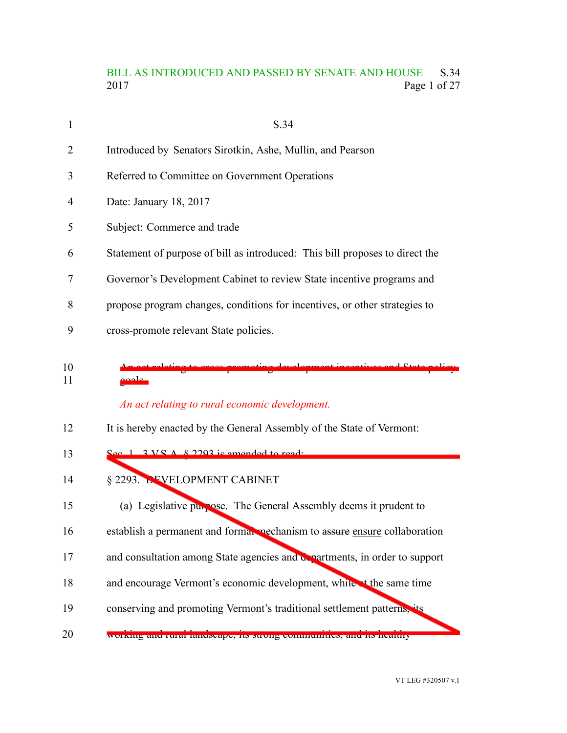# BILL AS INTRODUCED AND PASSED BY SENATE AND HOUSE S.34<br>2017 Page 1 of 27 Page 1 of 27

| 1        | S.34                                                                         |
|----------|------------------------------------------------------------------------------|
| 2        | Introduced by Senators Sirotkin, Ashe, Mullin, and Pearson                   |
| 3        | Referred to Committee on Government Operations                               |
| 4        | Date: January 18, 2017                                                       |
| 5        | Subject: Commerce and trade                                                  |
| 6        | Statement of purpose of bill as introduced: This bill proposes to direct the |
| 7        | Governor's Development Cabinet to review State incentive programs and        |
| 8        | propose program changes, conditions for incentives, or other strategies to   |
| 9        | cross-promote relevant State policies.                                       |
|          |                                                                              |
| 10<br>11 | حمامهم<br>An act relating to rural economic development.                     |
| 12       | It is hereby enacted by the General Assembly of the State of Vermont:        |
| 13       | $\frac{666}{1}$ 3 VS $\frac{1}{8}$ 2003 is amended to read.                  |
| 14       | § 2293. <b>DEVELOPMENT CABINET</b>                                           |
| 15       | (a) Legislative purpose. The General Assembly deems it prudent to            |
| 16       | establish a permanent and formal mechanism to assure ensure collaboration    |
| 17       | and consultation among State agencies and departments, in order to support   |
| 18       | and encourage Vermont's economic development, while at the same time         |

working and rural landscape, its strong communities, and its healthy 20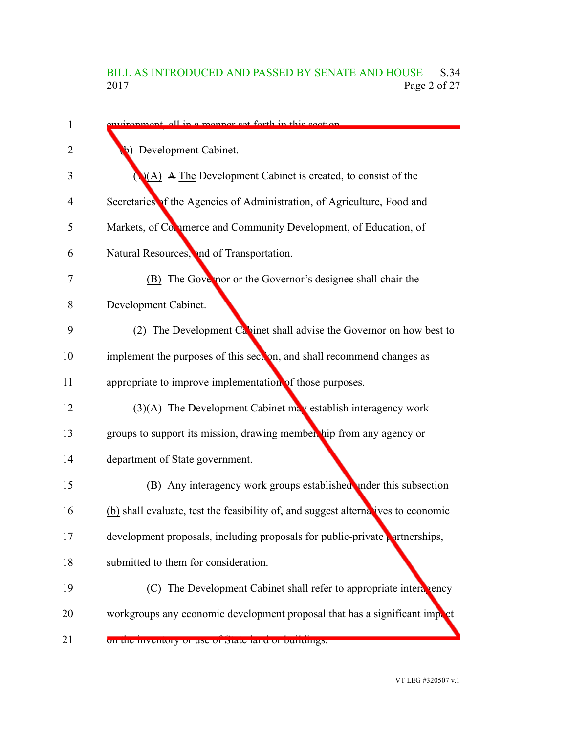# BILL AS INTRODUCED AND PASSED BY SENATE AND HOUSE S.34<br>2017 Page 2 of 27 Page 2 of 27

| 1  | environment, all in a manner set forth in this section.                           |
|----|-----------------------------------------------------------------------------------|
| 2  | Development Cabinet.<br>$\blacklozenge$                                           |
| 3  | $(A)$ A The Development Cabinet is created, to consist of the                     |
| 4  | Secretaries of the Agencies of Administration, of Agriculture, Food and           |
| 5  | Markets, of Commerce and Community Development, of Education, of                  |
| 6  | Natural Resources, and of Transportation.                                         |
| 7  | (B) The Gove nor or the Governor's designee shall chair the                       |
| 8  | Development Cabinet.                                                              |
| 9  | (2) The Development $Ca$ inet shall advise the Governor on how best to            |
| 10 | implement the purposes of this section, and shall recommend changes as            |
| 11 | appropriate to improve implementation of those purposes.                          |
| 12 | $(3)(A)$ The Development Cabinet may establish interagency work                   |
| 13 | groups to support its mission, drawing membership from any agency or              |
| 14 | department of State government.                                                   |
| 15 | (B) Any interagency work groups established under this subsection                 |
| 16 | (b) shall evaluate, test the feasibility of, and suggest alternatives to economic |
| 17 | development proposals, including proposals for public-private partnerships,       |
| 18 | submitted to them for consideration.                                              |
| 19 | (C) The Development Cabinet shall refer to appropriate intera vency               |
| 20 | workgroups any economic development proposal that has a significant import        |
| 21 | on the inventory or use or state rand or ountings.                                |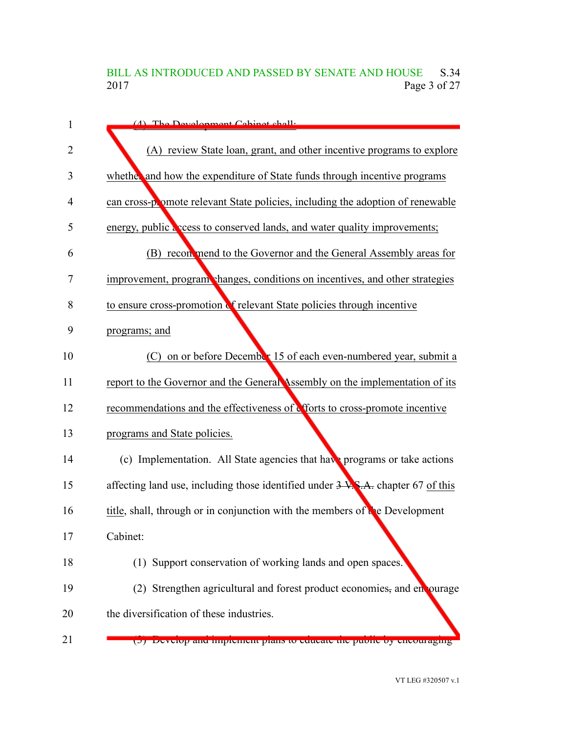# BILL AS INTRODUCED AND PASSED BY SENATE AND HOUSE S.34<br>2017 Page 3 of 27 Page 3 of 27

| $\mathbf{1}$   | $(4)$ The Development Cabinet shall.                                             |
|----------------|----------------------------------------------------------------------------------|
| $\overline{2}$ | (A) review State loan, grant, and other incentive programs to explore            |
| 3              | whether and how the expenditure of State funds through incentive programs        |
| 4              | can cross-promote relevant State policies, including the adoption of renewable   |
| 5              | energy, public access to conserved lands, and water quality improvements;        |
| 6              | (B) reconomed to the Governor and the General Assembly areas for                 |
| 7              | improvement, program changes, conditions on incentives, and other strategies     |
| 8              | to ensure cross-promotion of relevant State policies through incentive           |
| 9              | programs; and                                                                    |
| 10             | (C) on or before December 15 of each even-numbered year, submit a                |
| 11             | report to the Governor and the General Assembly on the implementation of its     |
| 12             | recommendations and the effectiveness of efforts to cross-promote incentive      |
| 13             | programs and State policies.                                                     |
| 14             | (c) Implementation. All State agencies that have programs or take actions        |
| 15             | affecting land use, including those identified under 3 V.S.A. chapter 67 of this |
| 16             | title, shall, through or in conjunction with the members of the Development      |
| 17             | Cabinet:                                                                         |
| 18             | (1) Support conservation of working lands and open spaces.                       |
| 19             | (2) Strengthen agricultural and forest product economies, and en ourage          |
| 20             | the diversification of these industries.                                         |
| 21             | (b) Develop and implement plans to educate the public by encouraging             |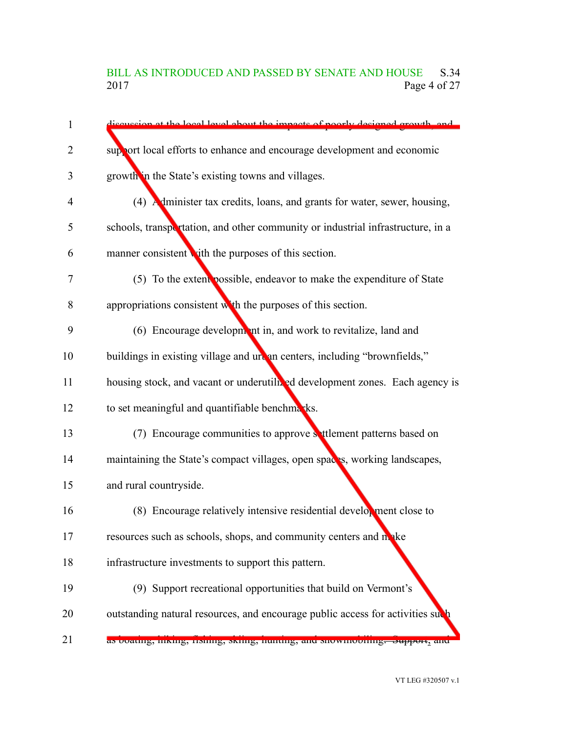# BILL AS INTRODUCED AND PASSED BY SENATE AND HOUSE S.34<br>2017 Page 4 of 27 Page 4 of 27

| 1              | discussion at the local level about the impacts of poorly designed growth and   |  |
|----------------|---------------------------------------------------------------------------------|--|
| $\overline{2}$ | support local efforts to enhance and encourage development and economic         |  |
| 3              | growth in the State's existing towns and villages.                              |  |
| $\overline{4}$ | (4) Administer tax credits, loans, and grants for water, sewer, housing,        |  |
| 5              | schools, transportation, and other community or industrial infrastructure, in a |  |
| 6              | manner consistent with the purposes of this section.                            |  |
| 7              | (5) To the extent possible, endeavor to make the expenditure of State           |  |
| 8              | appropriations consistent with the purposes of this section.                    |  |
| 9              | (6) Encourage development in, and work to revitalize, land and                  |  |
| 10             | buildings in existing village and urean centers, including "brownfields,"       |  |
| 11             | housing stock, and vacant or underutilized development zones. Each agency is    |  |
| 12             | to set meaningful and quantifiable benchmarks.                                  |  |
| 13             | (7) Encourage communities to approve settlement patterns based on               |  |
| 14             | maintaining the State's compact villages, open spaces, working landscapes,      |  |
| 15             | and rural countryside.                                                          |  |
| 16             | (8) Encourage relatively intensive residential development close to             |  |
| 17             | resources such as schools, shops, and community centers and make                |  |
| 18             | infrastructure investments to support this pattern.                             |  |
| 19             | (9) Support recreational opportunities that build on Vermont's                  |  |
| 20             | outstanding natural resources, and encourage public access for activities sud   |  |
| 21             | as boating, mking, nsinng, skinig, nunting, and snowmobinng. Support, and       |  |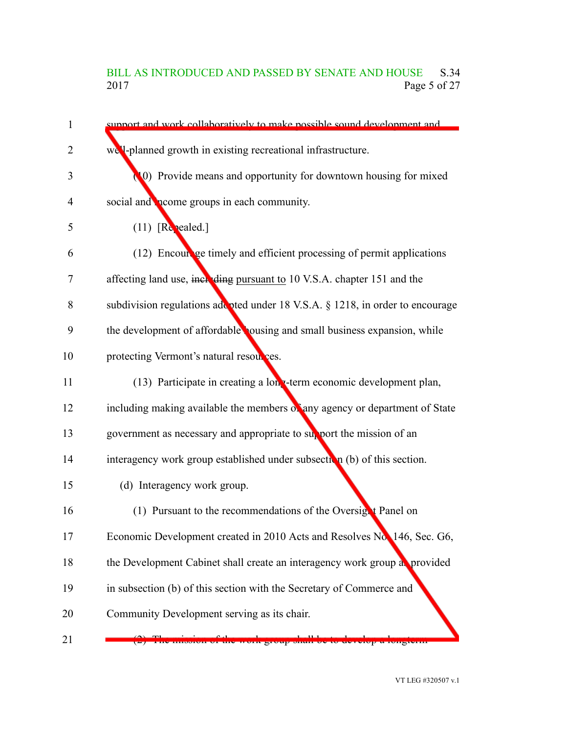# BILL AS INTRODUCED AND PASSED BY SENATE AND HOUSE S.34<br>2017 Page 5 of 27 Page 5 of 27

| $\mathbf{1}$ | support and work collaboratively to make possible sound development and        |
|--------------|--------------------------------------------------------------------------------|
| 2            | we'l-planned growth in existing recreational infrastructure.                   |
| 3            | (0) Provide means and opportunity for downtown housing for mixed               |
| 4            | social and <b>prome</b> groups in each community.                              |
| 5            | $(11)$ [Repealed.]                                                             |
| 6            | (12) Encourage timely and efficient processing of permit applications          |
| 7            | affecting land use, including pursuant to 10 V.S.A. chapter 151 and the        |
| 8            | subdivision regulations add pted under 18 V.S.A. § 1218, in order to encourage |
| 9            | the development of affordable ousing and small business expansion, while       |
| 10           | protecting Vermont's natural resources.                                        |
| 11           | (13) Participate in creating a long-term economic development plan,            |
| 12           | including making available the members of any agency or department of State    |
| 13           | government as necessary and appropriate to support the mission of an           |
| 14           | interagency work group established under subsection (b) of this section.       |
| 15           | (d) Interagency work group.                                                    |
| 16           | (1) Pursuant to the recommendations of the Oversign Panel on                   |
| 17           | Economic Development created in 2010 Acts and Resolves No. 146, Sec. G6,       |
| 18           | the Development Cabinet shall create an interagency work group as provided     |
| 19           | in subsection (b) of this section with the Secretary of Commerce and           |
| 20           | Community Development serving as its chair.                                    |
| 21           | ne mission of the work group shan oe to develop a longterm                     |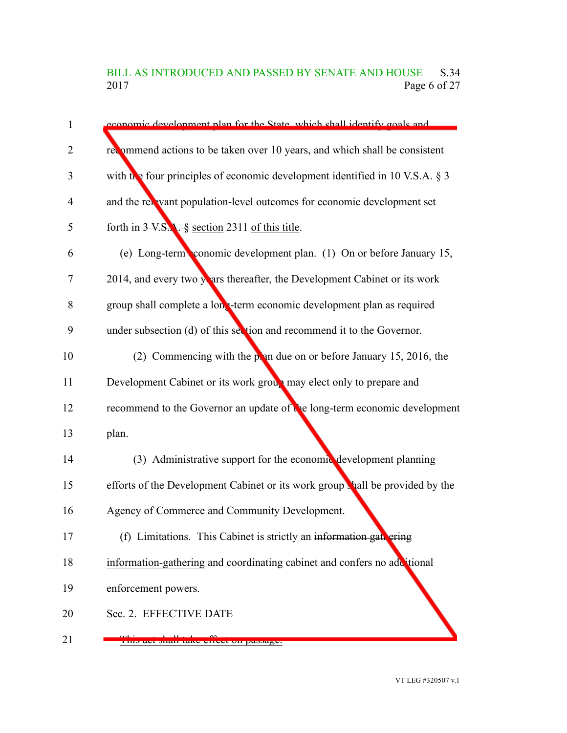# BILL AS INTRODUCED AND PASSED BY SENATE AND HOUSE S.34<br>2017 Page 6 of 27 Page 6 of 27

| 1              | economic development plan for the State, which shall identify goals and         |
|----------------|---------------------------------------------------------------------------------|
| $\overline{2}$ | recommend actions to be taken over 10 years, and which shall be consistent      |
| 3              | with the four principles of economic development identified in 10 V.S.A. $\S$ 3 |
| $\overline{4}$ | and the relevant population-level outcomes for economic development set         |
| 5              | forth in $3 \text{ V.S.}$ , $\frac{6}{9}$ section 2311 of this title.           |
| 6              | (e) Long-term conomic development plan. (1) On or before January 15,            |
| 7              | 2014, and every two years thereafter, the Development Cabinet or its work       |
| 8              | group shall complete a long-term economic development plan as required          |
| 9              | under subsection (d) of this section and recommend it to the Governor.          |
| 10             | (2) Commencing with the point due on or before January 15, 2016, the            |
| 11             | Development Cabinet or its work group may elect only to prepare and             |
| 12             | recommend to the Governor an update of the long-term economic development       |
| 13             | plan.                                                                           |
| 14             | (3) Administrative support for the economic development planning                |
| 15             | efforts of the Development Cabinet or its work group thall be provided by the   |
| 16             | Agency of Commerce and Community Development.                                   |
| 17             | (f) Limitations. This Cabinet is strictly an information gate ering             |
| 18             | information-gathering and coordinating cabinet and confers no additional        |
| 19             | enforcement powers.                                                             |
| 20             | Sec. 2. EFFECTIVE DATE                                                          |
| 21             | t iin ayt bilah tany yiryyi yil paddagy.                                        |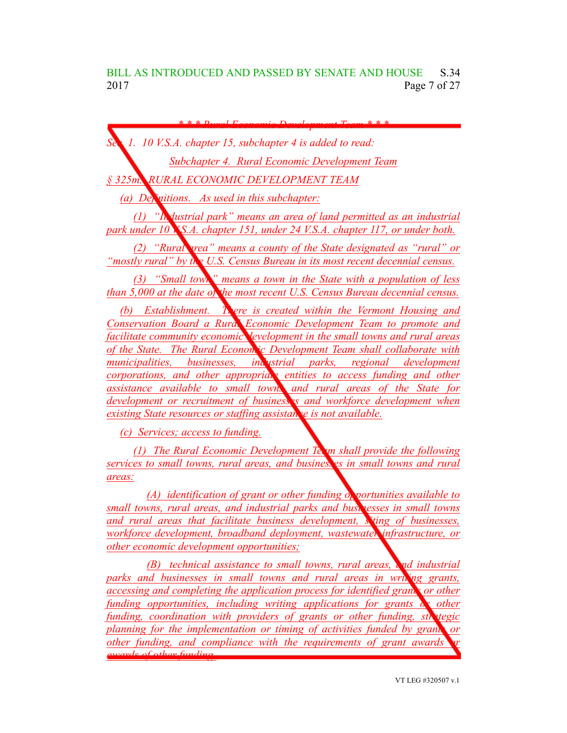*\* \* \* Rural Economic Development Team \* \* \**

*Sec. 1. 10 V.S.A. chapter 15, subchapter 4 is added to read: Subchapter 4. Rural Economic Development Team*

*§ 325m. RURAL ECONOMIC DEVELOPMENT TEAM*

*(a) Definitions. As used in this subchapter:*

*(1) "Industrial park" means an area of land permitted as an industrial park under 10 V.S.A. chapter 151, under 24 V.S.A. chapter 117, or under both.*

*(2) "Rural area" means a county of the State designated as "rural" or "mostly rural" by the U.S. Census Bureau in its most recent decennial census.*

*(3) "Small town" means a town in the State with a population of less than 5,000 at the date of the most recent U.S. Census Bureau decennial census.*

*(b) Establishment. There is created within the Vermont Housing and Conservation Board a Rural Economic Development Team to promote and facilitate community economic development in the small towns and rural areas of the State. The Rural Economic Development Team shall collaborate with municipalities, businesses, industrial parks, regional development corporations, and other appropriate entities to access funding and other assistance available to small towns and rural areas of the State for development or recruitment of businesses and workforce development when existing State resources or staffing assistance is not available.* 

*(c) Services; access to funding.*

*(1) The Rural Economic Development Team shall provide the following services to small towns, rural areas, and businesses in small towns and rural areas:*

*(A) identification of grant or other funding opportunities available to small towns, rural areas, and industrial parks and businesses in small towns and rural areas that facilitate business development, siting of businesses, workforce development, broadband deployment, wastewater infrastructure, or other economic development opportunities;*

*(B) technical assistance to small towns, rural areas, and industrial parks and businesses in small towns and rural areas in writing grants, accessing and completing the application process for identified grants or other funding opportunities, including writing applications for grants or other funding, coordination with providers of grants or other funding, strategic planning for the implementation or timing of activities funded by grants or other funding, and compliance with the requirements of grant awards or awards of other funding.*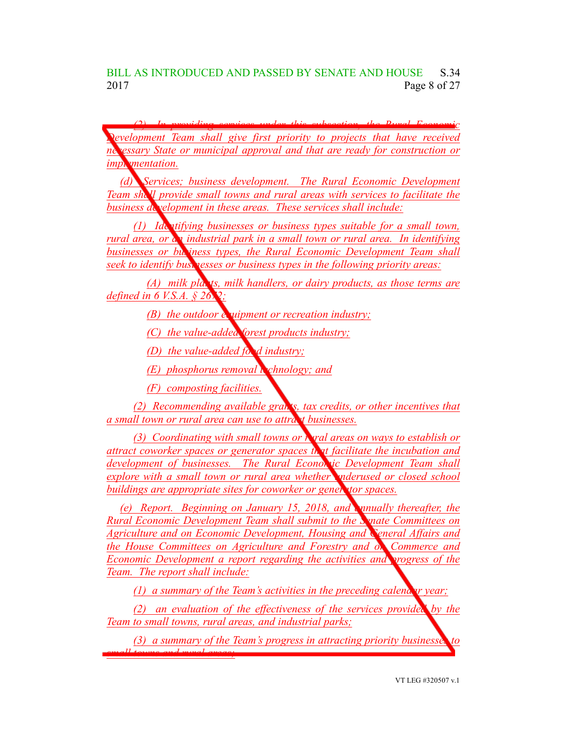BILL AS INTRODUCED AND PASSED BY SENATE AND HOUSE S.34 2017 **Page 8 of 27** 

*(2) In providing services under this subsection, the Rural Economic Development Team shall give first priority to projects that have received necessary State or municipal approval and that are ready for construction or implementation.* 

*(d) Services; business development. The Rural Economic Development Team shall provide small towns and rural areas with services to facilitate the business development in these areas. These services shall include:*

*(1) Identifying businesses or business types suitable for a small town, rural area, or an industrial park in a small town or rural area. In identifying businesses or business types, the Rural Economic Development Team shall seek to identify businesses or business types in the following priority areas:*

*(A) milk plants, milk handlers, or dairy products, as those terms are defined in 6 V.S.A.*  $\frac{6}{9}$  *2672;* 

*(B) the outdoor <i>equipment or recreation industry;* 

*(C) the value-added forest products industry;*

*(D) the value-added food industry;*

*(E) phosphorus removal tchnology; and* 

*(F) composting facilities.*

*(2) Recommending available grants, tax credits, or other incentives that a small town or rural area can use to attract businesses.*

*(3) Coordinating with small towns or rural areas on ways to establish or attract coworker spaces or generator spaces that facilitate the incubation and development of businesses. The Rural Economic Development Team shall explore with a small town or rural area whether underused or closed school buildings are appropriate sites for coworker or generator spaces.*

*(e) Report. Beginning on January 15, 2018, and annually thereafter, the Rural Economic Development Team shall submit to the Senate Committees on Agriculture and on Economic Development, Housing and General Affairs and the House Committees on Agriculture and Forestry and on Commerce and Economic Development a report regarding the activities and progress of the Team. The report shall include:*

*(1) a summary of the Team's activities in the preceding calendar year;*

*(2) an evaluation of the effectiveness of the services provided by the Team to small towns, rural areas, and industrial parks;*

*(3) a summary of the Team's progress in attracting priority businesses to small towns and rural areas;*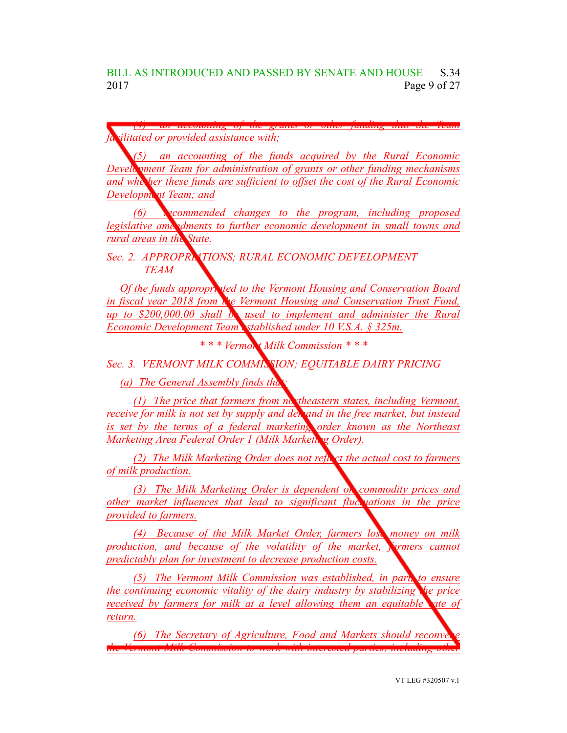*(4) an accounting of the grants or other funding that the Team facilitated or provided assistance with;*

*(5) an accounting of the funds acquired by the Rural Economic Development Team for administration of grants or other funding mechanisms and whether these funds are sufficient to offset the cost of the Rural Economic Development Team; and*

*(6) recommended changes to the program, including proposed legislative amendments to further economic development in small towns and rural areas in the State.*

*Sec. 2. APPROPRIATIONS; RURAL ECONOMIC DEVELOPMENT TEAM*

*Of the funds appropriated to the Vermont Housing and Conservation Board in fiscal year 2018 from the Vermont Housing and Conservation Trust Fund, up to \$200,000.00 shall be used to implement and administer the Rural Economic Development Team established under 10 V.S.A. § 325m.*

*\* \* \* Vermont Milk Commission \* \* \**

*Sec. 3. VERMONT MILK COMMISSION; EQUITABLE DAIRY PRICING*

*(a) The General Assembly finds that:*

*(1) The price that farmers from northeastern states, including Vermont, receive for milk is not set by supply and demand in the free market, but instead is set by the terms of a federal marketing order known as the Northeast Marketing Area Federal Order 1 (Milk Marketing Order).*

*(2) The Milk Marketing Order does not reflect the actual cost to farmers of milk production.*

*(3) The Milk Marketing Order is dependent on commodity prices and other market influences that lead to significant fluctuations in the price provided to farmers.*

*(4) Because of the Milk Market Order, farmers lose money on milk production, and because of the volatility of the market, farmers cannot predictably plan for investment to decrease production costs.*

*(5) The Vermont Milk Commission was established, in part, to ensure the continuing economic vitality of the dairy industry by stabilizing the price received by farmers for milk at a level allowing them an equitable rate of return.*

*(6) The Secretary of Agriculture, Food and Markets should reconveneed the Vermont Milk Commission to work with interested parties, including other*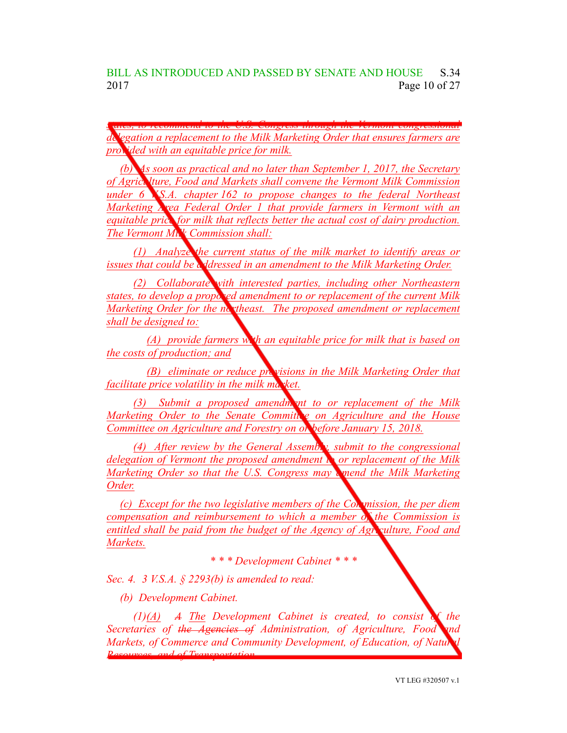BILL AS INTRODUCED AND PASSED BY SENATE AND HOUSE S.34 2017 **Page 10 of 27** 

*states, to recommend to the U.S. Congress through the Vermont congressional delegation a replacement to the Milk Marketing Order that ensures farmers are provided with an equitable price for milk.*

*(b) As soon as practical and no later than September 1, 2017, the Secretary of Agriculture, Food and Markets shall convene the Vermont Milk Commission under 6 V.S.A. chapter 162 to propose changes to the federal Northeast Marketing Area Federal Order 1 that provide farmers in Vermont with an equitable price for milk that reflects better the actual cost of dairy production. The Vermont Milk Commission shall:*

*(1) Analyze the current status of the milk market to identify areas or issues that could be addressed in an amendment to the Milk Marketing Order.*

*(2) Collaborate with interested parties, including other Northeastern states, to develop a proposed amendment to or replacement of the current Milk Marketing Order for the northeast. The proposed amendment or replacement shall be designed to:*

*(A) provide farmers with an equitable price for milk that is based on the costs of production; and*

*(B) eliminate or reduce provisions in the Milk Marketing Order that facilitate price volatility in the milk market.*

*(3) Submit a proposed amendment to or replacement of the Milk Marketing Order to the Senate Committee on Agriculture and the House Committee on Agriculture and Forestry on or before January 15, 2018.*

*(4) After review by the General Assembly, submit to the congressional delegation of Vermont the proposed amendment to or replacement of the Milk Marketing Order so that the U.S. Congress may amend the Milk Marketing Order.*

*(c) Except for the two legislative members of the Commission, the per diem compensation and reimbursement to which a member of the Commission is entitled shall be paid from the budget of the Agency of Agriculture, Food and Markets.*

*\* \* \* Development Cabinet \* \* \**

*Sec. 4. 3 V.S.A. § 2293(b) is amended to read:*

*(b) Development Cabinet.*

*(1)(A) A The Development Cabinet is created, to consist of the Secretaries of the Agencies of Administration, of Agriculture, Food and Markets, of Commerce and Community Development, of Education, of Natural Resources, and of Transportation.*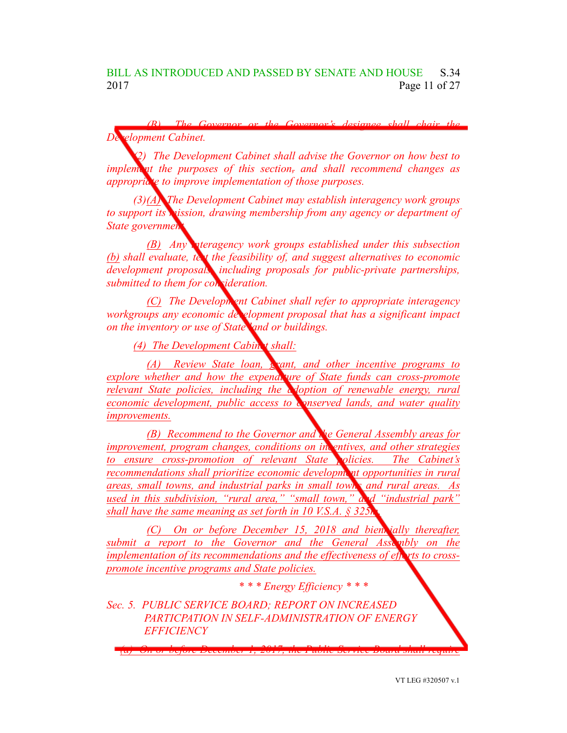*(B) The Governor or the Governor's designee shall chair the <u>relopment</u> Cabinet.* 

*(2) The Development Cabinet shall advise the Governor on how best to implement the purposes of this section, and shall recommend changes as appropriate to improve implementation of those purposes.*

*(3)(A) The Development Cabinet may establish interagency work groups to support its mission, drawing membership from any agency or department of State* government

*(B) Any interagency work groups established under this subsection (b) shall evaluate, test the feasibility of, and suggest alternatives to economic development proposals, including proposals for public-private partnerships, submitted to them for consideration.*

*(C) The Development Cabinet shall refer to appropriate interagency workgroups any economic development proposal that has a significant impact on the inventory or use of State land or buildings.*

*(4) The Development Cabinet shall:*

*(A) Review State loan, grant, and other incentive programs to explore whether and how the expenditure of State funds can cross-promote relevant State policies, including the adoption of renewable energy, rural economic development, public access to conserved lands, and water quality improvements.*

*(B) Recommend to the Governor and the General Assembly areas for improvement, program changes, conditions on <i>incentives, and other strategies to ensure cross-promotion of relevant State policies. The Cabinet's recommendations shall prioritize economic development opportunities in rural areas, small towns, and industrial parks in small towns and rural areas. As used in this subdivision, "rural area," "small town," and "industrial park" shall have the same meaning as set forth in 10 V.S.A.*  $\S 325$ 

*(C) On or before December 15, 2018 and biennially thereafter, submit a report to the Governor and the General Assembly on the implementation of its recommendations and the effectiveness of efforts to crosspromote incentive programs and State policies.*

*(a) On or before December 1, 2017, the Public Service Board shall require*

*\* \* \* Energy Efficiency \* \* \**

*Sec. 5. PUBLIC SERVICE BOARD; REPORT ON INCREASED PARTICPATION IN SELF-ADMINISTRATION OF ENERGY EFFICIENCY*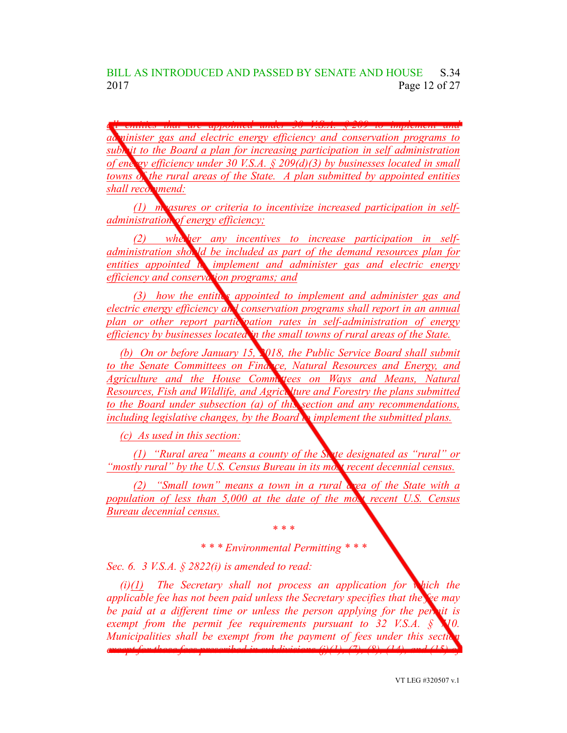*all entities that are appointed under 30 V.S.A. § 209 to implement and administer gas and electric energy efficiency and conservation programs to submit to the Board a plan for increasing participation in self administration of energy efficiency under 30 V.S.A. § 209(d)(3) by businesses located in small towns of the rural areas of the State. A plan submitted by appointed entities* shall *recommend*:

*(1) measures or criteria to incentivize increased participation in selfadministration of energy efficiency;*

*(2) khether any incentives to increase participation in selfadministration should be included as part of the demand resources plan for entities appointed to implement and administer gas and electric energy efficiency and conservation programs; and*

*(3) how the entities appointed to implement and administer gas and electric energy efficiency and conservation programs shall report in an annual plan or other report participation rates in self-administration of energy efficiency by businesses located in the small towns of rural areas of the State.*

*(b) On or before January 15, 2018, the Public Service Board shall submit to the Senate Committees on Finance, Natural Resources and Energy, and Agriculture and the House Committees on Ways and Means, Natural Resources, Fish and Wildlife, and Agriculture and Forestry the plans submitted to the Board under subsection (a) of this section and any recommendations, including legislative changes, by the Board to implement the submitted plans.*

*(c) As used in this section:*

*(1) "Rural area" means a county of the State designated as "rural" or "mostly rural" by the U.S. Census Bureau in its most recent decennial census.*

*(2) "Small town" means a town in a rural area of the State with a population of less than 5,000 at the date of the most recent U.S. Census Bureau decennial census.*

> *\* \* \* \* \* \* Environmental Permitting \* \* \**

*Sec. 6. 3 V.S.A. § 2822(i) is amended to read:*

*(i)(1) The Secretary shall not process an application for which the applicable fee has not been paid unless the Secretary specifies that the fee may be paid at a different time or unless the person applying for the permit is exempt from the permit fee requirements pursuant to 32 V.S.A. § 710. Municipalities shall be exempt from the payment of fees under this sectionally except for those fees prescribed in subdivisions (j)(1), (7), (8), (14), and (15) of*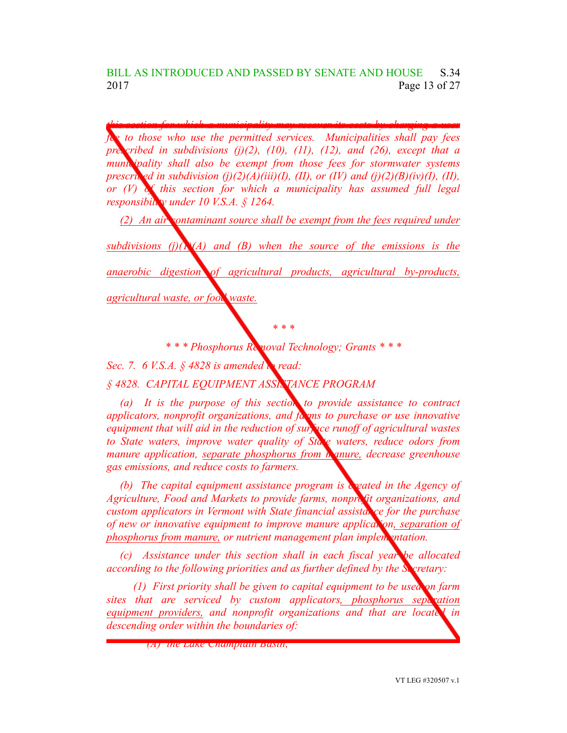*this section for which a municipality may recover its costs by charging a user fee to those who use the permitted services. Municipalities shall pay fees prescribed in subdivisions (j)(2), (10), (11), (12), and (26), except that a municipality shall also be exempt from those fees for stormwater systems prescrib*<sub>ed</sub> *in subdivision* (*j)*(2)(*A*)(*iii*)(*I*), (*II*), *or* (*IV*) *and* (*j*)(2)(*B*)(*iv*)(*I*), (*II*), *or (V) of this section for which a municipality has assumed full legal responsibility under 10 V.S.A. § 1264.*

*(2) An air contaminant source shall be exempt from the fees required under subdivisions (j)(1)(A) and (B) when the source of the emissions is the anaerobic digestion of agricultural products, agricultural by-products,*

*agricultural waste, or food waste.*

*\* \* \* \* \* \* Phosphorus Removal Technology; Grants \* \* \**

*Sec. 7. 6 V.S.A. § 4828 is amended to read:*

*§ 4828. CAPITAL EQUIPMENT ASSISTANCE PROGRAM*

*(a) It is the purpose of this section to provide assistance to contract applicators, nonprofit organizations, and farms to purchase or use innovative equipment that will aid in the reduction of surface runoff of agricultural wastes to State waters, improve water quality of State waters, reduce odors from manure application, separate phosphorus from manure, decrease greenhouse gas emissions, and reduce costs to farmers.*

*(b) The capital equipment assistance program is created in the Agency of Agriculture, Food and Markets to provide farms, nonprofit organizations, and custom applicators in Vermont with State financial assista*, *ce for the purchase of new or innovative equipment to improve manure application, separation of phosphorus from manure, or nutrient management plan implementation.*

*(c) Assistance under this section shall in each fiscal year be allocated according to the following priorities and as further defined by the Secretary:*

*(1) First priority shall be given to capital equipment to be used on farm sites that are serviced by custom applicators, phosphorus separation equipment providers, and nonprofit organizations and that are located in descending order within the boundaries of:*

*(A) the Lake Champlain Basin;*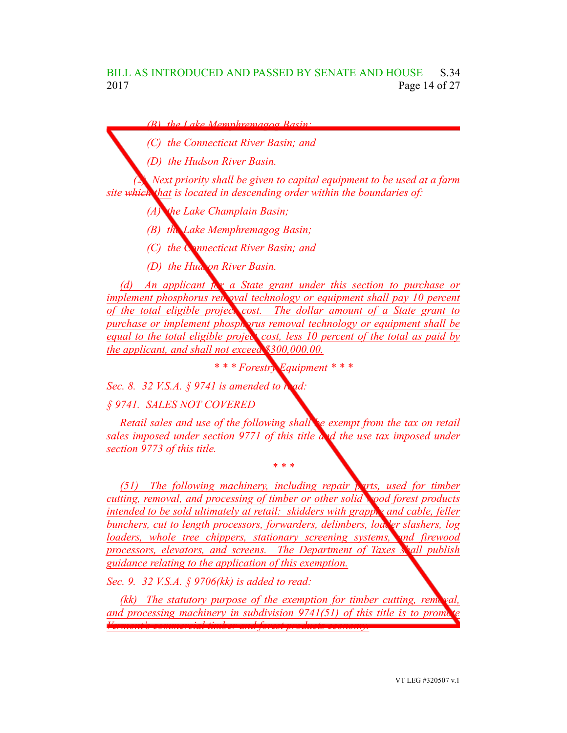*(B) the Lake Memphremagog Basin;*

*(C) the Connecticut River Basin; and*

*(D) the Hudson River Basin.*

*(2) Next priority shall be given to capital equipment to be used at a farm site which that is located in descending order within the boundaries of:*

*(A) the Lake Champlain Basin;*

*(B) the Lake Memphremagog Basin;*

*(C) the Connecticut River Basin; and*

*(D) the Hudson River Basin.*

*(d) An applicant for a State grant under this section to purchase or implement phosphorus removal technology or equipment shall pay* 10 *percent of the total eligible project cost. The dollar amount of a State grant to purchase* or *implement phosphorus removal technology or equipment shall be equal to the total eligible project cost, less 10 percent of the total as paid by the applicant, and shall not exceed \$300,000.00.*

*\* \* \* Forestry Equipment \* \* \**

*Sec. 8. 32 V.S.A. § 9741 is amended to read:*

*§ 9741. SALES NOT COVERED*

*Retail sales and use of the following shall be exempt from the tax on retail sales imposed under section 9771 of this title and the use tax imposed under section 9773 of this title.*

*\* \* \**

*(51) The following machinery, including repair parts, used for timber cutting, removal, and processing of timber or other solid wood forest products intended to be sold ultimately at retail: skidders with grapple and cable, feller bunchers, cut to length processors, forwarders, delimbers, loader slashers, log loaders, whole tree chippers, stationary screening systems, and firewood processors, elevators, and screens. The Department of Taxes shall publish guidance relating to the application of this exemption.*

*Sec. 9. 32 V.S.A. § 9706(kk) is added to read:*

*(kk) The statutory purpose of the exemption for timber cutting, removal, and* processing machinery in subdivision 9741(51) of this title is to prom *Vermont's commercial timber and forest products economy.*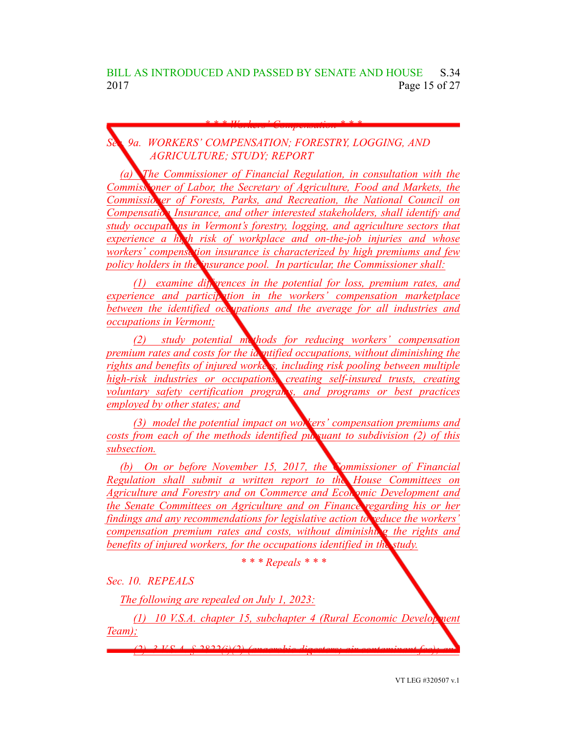*\* \* \* Workers' Compensation \* \* \**

*Sec. 9a. WORKERS' COMPENSATION; FORESTRY, LOGGING, AND AGRICULTURE; STUDY; REPORT*

*(a) The Commissioner of Financial Regulation, in consultation with the Commissioner of Labor, the Secretary of Agriculture, Food and Markets, the Commissioner of Forests, Parks, and Recreation, the National Council on Compensation Insurance, and other interested stakeholders, shall identify and study occupations in Vermont's forestry, logging, and agriculture sectors that experience a high risk of workplace and on-the-job injuries and whose workers' compensation insurance is characterized by high premiums and few policy holders in the insurance pool. In particular, the Commissioner shall:*

*(1) examine differences in the potential for loss, premium rates, and experience and participation in the workers' compensation marketplace between the identified occupations and the average for all industries and occupations in Vermont;*

*(2) study potential methods for reducing workers' compensation premium rates and costs for the identified occupations, without diminishing the rights* and *benefits* of *injured* workers, *including risk pooling between multiple high-risk industries or occupations, creating self-insured trusts, creating voluntary safety certification programs, and programs or best practices employed by other states; and*

*(3) model the potential impact on workers' compensation premiums and costs from each of the methods identified pursuant to subdivision (2) of this subsection.*

*(b) On or before November 15, 2017, the Commissioner of Financial Regulation shall submit a written report to the House Committees on Agriculture and Forestry and on Commerce and Economic Development and the Senate Committees on Agriculture and on Finance regarding his or her findings and any recommendations for legislative action to reduce the workers' compensation premium rates and costs, without diminishing the rights and benefits of injured workers, for the occupations identified in the study.*

*\* \* \* Repeals \* \* \**

*Sec. 10. REPEALS*

*The following are repealed on July 1, 2023:*

*(1) 10 V.S.A. chapter 15, subchapter 4 (Rural Economic Development Team);*

*(2) 3 V.S.A. § 2822(i)(2) (anaerobic digesters; air contaminant fee); and*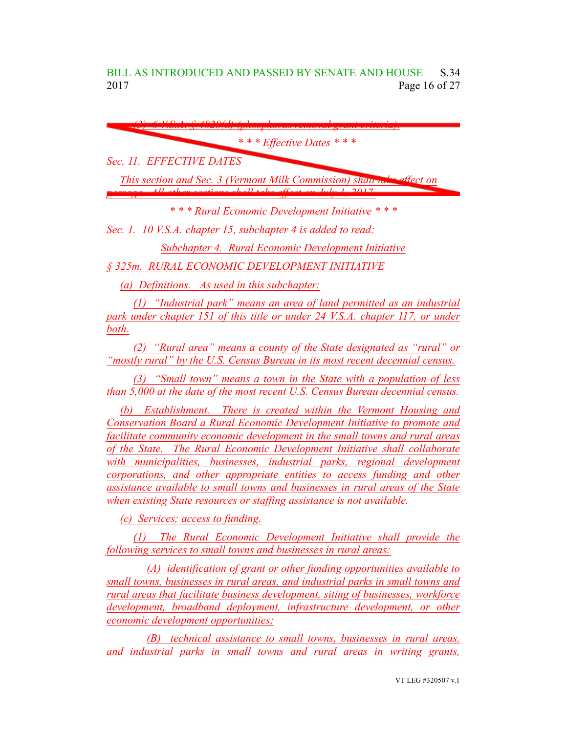BILL AS INTRODUCED AND PASSED BY SENATE AND HOUSE S.34 2017 **Page 16 of 27** 

| $0.1020 \times 1$                                                    |
|----------------------------------------------------------------------|
| * * * Effective Dates * * *                                          |
| Sec. 11. EFFECTIVE DATES                                             |
| This section and Sec. 3 (Vermont Milk Commission) shaw who effect on |
| passes All other sections shall take offect on July 1, 2017          |
| *** Rural Economic Development Initiative ***                        |

*Sec. 1. 10 V.S.A. chapter 15, subchapter 4 is added to read:*

*Subchapter 4. Rural Economic Development Initiative*

*§ 325m. RURAL ECONOMIC DEVELOPMENT INITIATIVE*

*(a) Definitions. As used in this subchapter:*

*(1) "Industrial park" means an area of land permitted as an industrial park under chapter 151 of this title or under 24 V.S.A. chapter 117, or under both.*

*(2) "Rural area" means a county of the State designated as "rural" or "mostly rural" by the U.S. Census Bureau in its most recent decennial census.*

*(3) "Small town" means a town in the State with a population of less than 5,000 at the date of the most recent U.S. Census Bureau decennial census.*

*(b) Establishment. There is created within the Vermont Housing and Conservation Board a Rural Economic Development Initiative to promote and facilitate community economic development in the small towns and rural areas of the State. The Rural Economic Development Initiative shall collaborate with municipalities, businesses, industrial parks, regional development corporations, and other appropriate entities to access funding and other assistance available to small towns and businesses in rural areas of the State when existing State resources or staffing assistance is not available.*

*(c) Services; access to funding.*

*(1) The Rural Economic Development Initiative shall provide the following services to small towns and businesses in rural areas:*

*(A) identification of grant or other funding opportunities available to small towns, businesses in rural areas, and industrial parks in small towns and rural areas that facilitate business development, siting of businesses, workforce development, broadband deployment, infrastructure development, or other economic development opportunities;*

*(B) technical assistance to small towns, businesses in rural areas, and industrial parks in small towns and rural areas in writing grants,*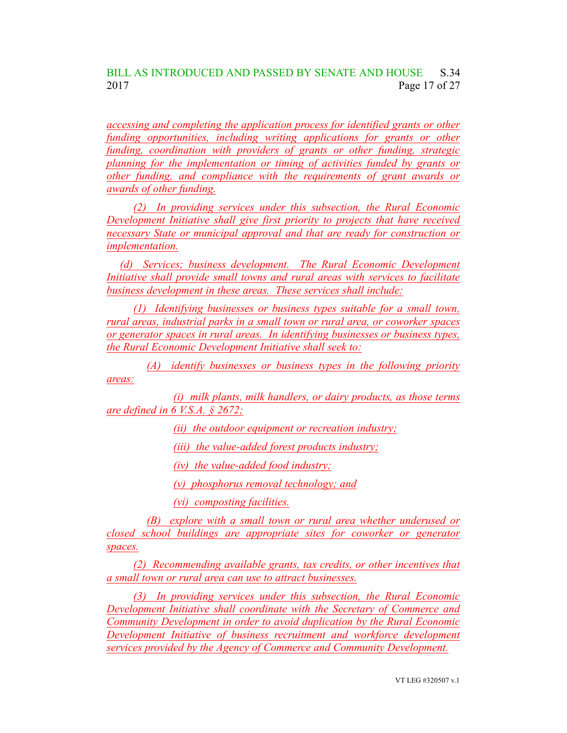## BILL AS INTRODUCED AND PASSED BY SENATE AND HOUSE S.34 2017 Page 17 of 27

*accessing and completing the application process for identified grants or other funding opportunities, including writing applications for grants or other funding, coordination with providers of grants or other funding, strategic planning for the implementation or timing of activities funded by grants or other funding, and compliance with the requirements of grant awards or awards of other funding.*

*(2) In providing services under this subsection, the Rural Economic Development Initiative shall give first priority to projects that have received necessary State or municipal approval and that are ready for construction or implementation.*

*(d) Services; business development. The Rural Economic Development Initiative shall provide small towns and rural areas with services to facilitate business development in these areas. These services shall include:*

*(1) Identifying businesses or business types suitable for a small town, rural areas, industrial parks in a small town or rural area, or coworker spaces or generator spaces in rural areas. In identifying businesses or business types, the Rural Economic Development Initiative shall seek to:*

*(A) identify businesses or business types in the following priority areas:*

*(i) milk plants, milk handlers, or dairy products, as those terms are defined in 6 V.S.A. § 2672;*

*(ii) the outdoor equipment or recreation industry;*

*(iii) the value-added forest products industry;*

*(iv) the value-added food industry;*

*(v) phosphorus removal technology; and*

*(vi) composting facilities.*

*(B) explore with a small town or rural area whether underused or closed school buildings are appropriate sites for coworker or generator spaces.*

*(2) Recommending available grants, tax credits, or other incentives that a small town or rural area can use to attract businesses.*

*(3) In providing services under this subsection, the Rural Economic Development Initiative shall coordinate with the Secretary of Commerce and Community Development in order to avoid duplication by the Rural Economic Development Initiative of business recruitment and workforce development services provided by the Agency of Commerce and Community Development.*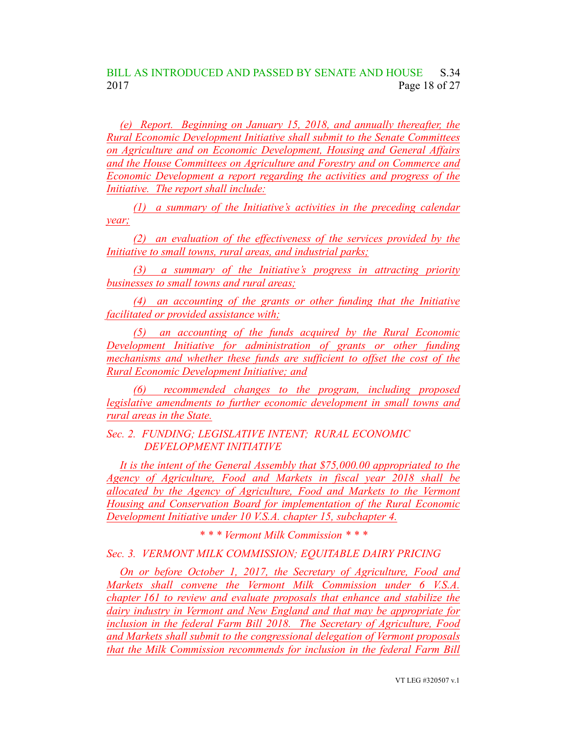#### BILL AS INTRODUCED AND PASSED BY SENATE AND HOUSE S.34 2017 Page 18 of 27

*(e) Report. Beginning on January 15, 2018, and annually thereafter, the Rural Economic Development Initiative shall submit to the Senate Committees on Agriculture and on Economic Development, Housing and General Affairs and the House Committees on Agriculture and Forestry and on Commerce and Economic Development a report regarding the activities and progress of the Initiative. The report shall include:*

*(1) a summary of the Initiative's activities in the preceding calendar year;*

*(2) an evaluation of the effectiveness of the services provided by the Initiative to small towns, rural areas, and industrial parks;*

*(3) a summary of the Initiative's progress in attracting priority businesses to small towns and rural areas;*

*(4) an accounting of the grants or other funding that the Initiative facilitated or provided assistance with;*

*(5) an accounting of the funds acquired by the Rural Economic Development Initiative for administration of grants or other funding mechanisms and whether these funds are sufficient to offset the cost of the Rural Economic Development Initiative; and*

*(6) recommended changes to the program, including proposed legislative amendments to further economic development in small towns and rural areas in the State.*

*Sec. 2. FUNDING; LEGISLATIVE INTENT; RURAL ECONOMIC DEVELOPMENT INITIATIVE*

*It is the intent of the General Assembly that \$75,000.00 appropriated to the Agency of Agriculture, Food and Markets in fiscal year 2018 shall be allocated by the Agency of Agriculture, Food and Markets to the Vermont Housing and Conservation Board for implementation of the Rural Economic Development Initiative under 10 V.S.A. chapter 15, subchapter 4.*

*\* \* \* Vermont Milk Commission \* \* \**

*Sec. 3. VERMONT MILK COMMISSION; EQUITABLE DAIRY PRICING*

*On or before October 1, 2017, the Secretary of Agriculture, Food and Markets shall convene the Vermont Milk Commission under 6 V.S.A. chapter 161 to review and evaluate proposals that enhance and stabilize the dairy industry in Vermont and New England and that may be appropriate for inclusion in the federal Farm Bill 2018. The Secretary of Agriculture, Food and Markets shall submit to the congressional delegation of Vermont proposals that the Milk Commission recommends for inclusion in the federal Farm Bill*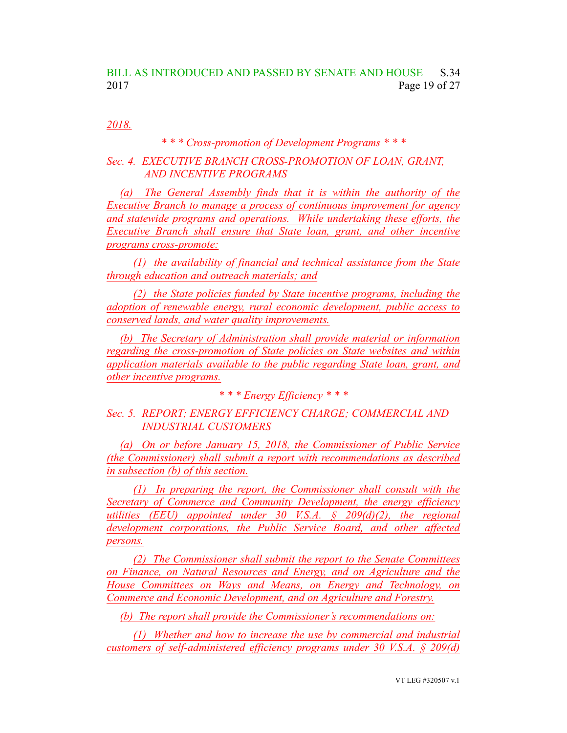## BILL AS INTRODUCED AND PASSED BY SENATE AND HOUSE S.34 2017 Page 19 of 27

*2018.*

#### *\* \* \* Cross-promotion of Development Programs \* \* \**

#### *Sec. 4. EXECUTIVE BRANCH CROSS-PROMOTION OF LOAN, GRANT, AND INCENTIVE PROGRAMS*

*(a) The General Assembly finds that it is within the authority of the Executive Branch to manage a process of continuous improvement for agency and statewide programs and operations. While undertaking these efforts, the Executive Branch shall ensure that State loan, grant, and other incentive programs cross-promote:*

*(1) the availability of financial and technical assistance from the State through education and outreach materials; and*

*(2) the State policies funded by State incentive programs, including the adoption of renewable energy, rural economic development, public access to conserved lands, and water quality improvements.*

*(b) The Secretary of Administration shall provide material or information regarding the cross-promotion of State policies on State websites and within application materials available to the public regarding State loan, grant, and other incentive programs.*

*\* \* \* Energy Efficiency \* \* \**

*Sec. 5. REPORT; ENERGY EFFICIENCY CHARGE; COMMERCIAL AND INDUSTRIAL CUSTOMERS*

*(a) On or before January 15, 2018, the Commissioner of Public Service (the Commissioner) shall submit a report with recommendations as described in subsection (b) of this section.*

*(1) In preparing the report, the Commissioner shall consult with the Secretary of Commerce and Community Development, the energy efficiency utilities (EEU) appointed under 30 V.S.A. § 209(d)(2), the regional development corporations, the Public Service Board, and other affected persons.*

*(2) The Commissioner shall submit the report to the Senate Committees on Finance, on Natural Resources and Energy, and on Agriculture and the House Committees on Ways and Means, on Energy and Technology, on Commerce and Economic Development, and on Agriculture and Forestry.*

*(b) The report shall provide the Commissioner's recommendations on:*

*(1) Whether and how to increase the use by commercial and industrial customers of self-administered efficiency programs under 30 V.S.A. § 209(d)*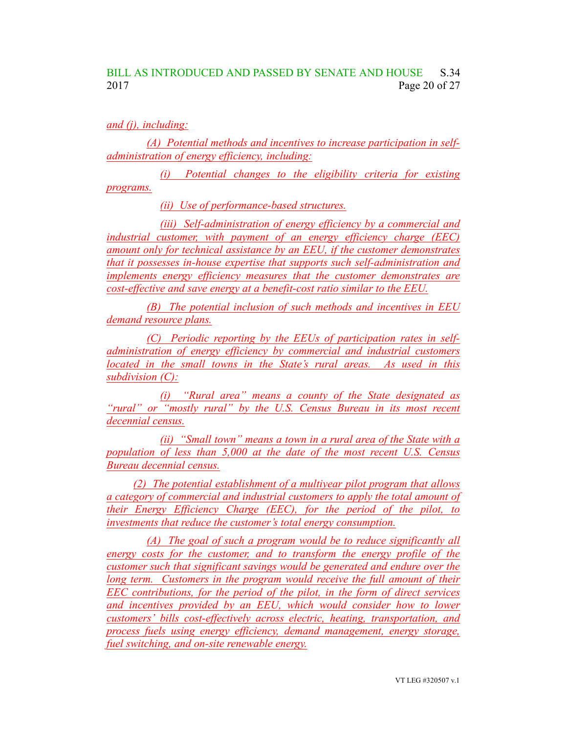## BILL AS INTRODUCED AND PASSED BY SENATE AND HOUSE S.34 2017 Page 20 of 27

*and (j), including:*

*(A) Potential methods and incentives to increase participation in selfadministration of energy efficiency, including:*

*(i) Potential changes to the eligibility criteria for existing programs.*

*(ii) Use of performance-based structures.*

*(iii) Self-administration of energy efficiency by a commercial and industrial customer, with payment of an energy efficiency charge (EEC) amount only for technical assistance by an EEU, if the customer demonstrates that it possesses in-house expertise that supports such self-administration and implements energy efficiency measures that the customer demonstrates are cost-effective and save energy at a benefit-cost ratio similar to the EEU.*

*(B) The potential inclusion of such methods and incentives in EEU demand resource plans.*

*(C) Periodic reporting by the EEUs of participation rates in selfadministration of energy efficiency by commercial and industrial customers located in the small towns in the State's rural areas. As used in this subdivision (C):*

*(i) "Rural area" means a county of the State designated as "rural" or "mostly rural" by the U.S. Census Bureau in its most recent decennial census.*

*(ii) "Small town" means a town in a rural area of the State with a population of less than 5,000 at the date of the most recent U.S. Census Bureau decennial census.*

*(2) The potential establishment of a multiyear pilot program that allows a category of commercial and industrial customers to apply the total amount of their Energy Efficiency Charge (EEC), for the period of the pilot, to investments that reduce the customer's total energy consumption.*

*(A) The goal of such a program would be to reduce significantly all energy costs for the customer, and to transform the energy profile of the customer such that significant savings would be generated and endure over the long term. Customers in the program would receive the full amount of their EEC contributions, for the period of the pilot, in the form of direct services and incentives provided by an EEU, which would consider how to lower customers' bills cost-effectively across electric, heating, transportation, and process fuels using energy efficiency, demand management, energy storage, fuel switching, and on-site renewable energy.*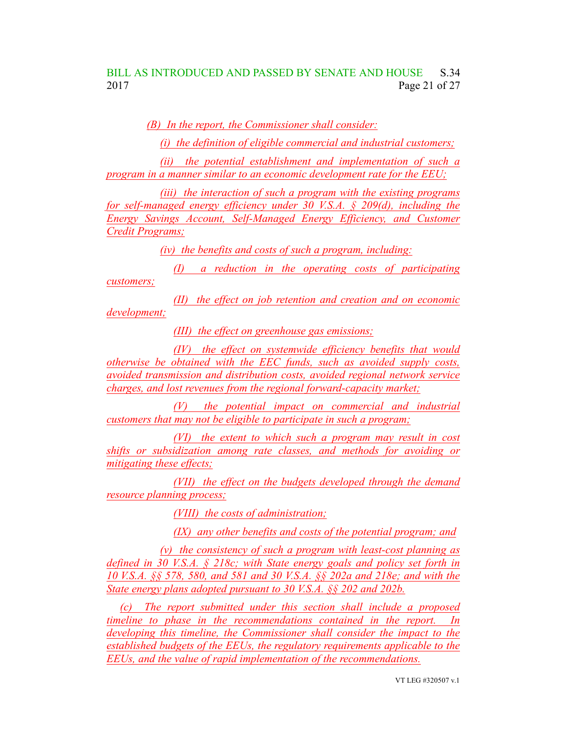## BILL AS INTRODUCED AND PASSED BY SENATE AND HOUSE S.34 2017 Page 21 of 27

*(B) In the report, the Commissioner shall consider:*

*(i) the definition of eligible commercial and industrial customers;*

*(ii) the potential establishment and implementation of such a program in a manner similar to an economic development rate for the EEU;*

*(iii) the interaction of such a program with the existing programs for self-managed energy efficiency under 30 V.S.A. § 209(d), including the Energy Savings Account, Self-Managed Energy Efficiency, and Customer Credit Programs;*

*(iv) the benefits and costs of such a program, including:*

*(I) a reduction in the operating costs of participating customers;*

*(II) the effect on job retention and creation and on economic development;*

*(III) the effect on greenhouse gas emissions;*

*(IV) the effect on systemwide efficiency benefits that would otherwise be obtained with the EEC funds, such as avoided supply costs, avoided transmission and distribution costs, avoided regional network service charges, and lost revenues from the regional forward-capacity market;*

*(V) the potential impact on commercial and industrial customers that may not be eligible to participate in such a program;*

*(VI) the extent to which such a program may result in cost shifts or subsidization among rate classes, and methods for avoiding or mitigating these effects;*

*(VII) the effect on the budgets developed through the demand resource planning process;*

*(VIII) the costs of administration;*

*(IX) any other benefits and costs of the potential program; and*

*(v) the consistency of such a program with least-cost planning as defined in 30 V.S.A. § 218c; with State energy goals and policy set forth in 10 V.S.A. §§ 578, 580, and 581 and 30 V.S.A. §§ 202a and 218e; and with the State energy plans adopted pursuant to 30 V.S.A. §§ 202 and 202b.*

*(c) The report submitted under this section shall include a proposed timeline to phase in the recommendations contained in the report. In developing this timeline, the Commissioner shall consider the impact to the established budgets of the EEUs, the regulatory requirements applicable to the EEUs, and the value of rapid implementation of the recommendations.*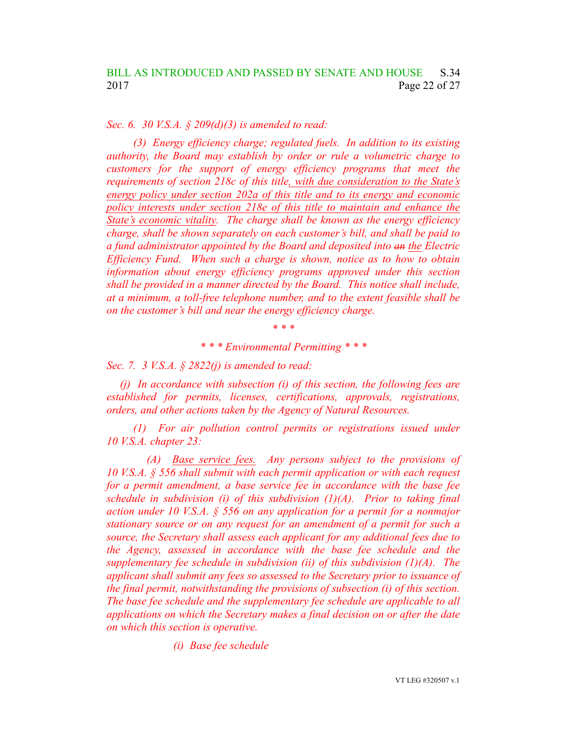*Sec. 6. 30 V.S.A. § 209(d)(3) is amended to read:*

*(3) Energy efficiency charge; regulated fuels. In addition to its existing authority, the Board may establish by order or rule a volumetric charge to customers for the support of energy efficiency programs that meet the requirements of section 218c of this title, with due consideration to the State's energy policy under section 202a of this title and to its energy and economic policy interests under section 218e of this title to maintain and enhance the State's economic vitality. The charge shall be known as the energy efficiency charge, shall be shown separately on each customer's bill, and shall be paid to a fund administrator appointed by the Board and deposited into an the Electric Efficiency Fund. When such a charge is shown, notice as to how to obtain information about energy efficiency programs approved under this section shall be provided in a manner directed by the Board. This notice shall include, at a minimum, a toll-free telephone number, and to the extent feasible shall be on the customer's bill and near the energy efficiency charge.*

*\* \* \**

*\* \* \* Environmental Permitting \* \* \**

*Sec. 7. 3 V.S.A. § 2822(j) is amended to read:*

*(j) In accordance with subsection (i) of this section, the following fees are established for permits, licenses, certifications, approvals, registrations, orders, and other actions taken by the Agency of Natural Resources.*

*(1) For air pollution control permits or registrations issued under 10 V.S.A. chapter 23:*

*(A) Base service fees. Any persons subject to the provisions of 10 V.S.A. § 556 shall submit with each permit application or with each request for a permit amendment, a base service fee in accordance with the base fee schedule in subdivision (i) of this subdivision (1)(A). Prior to taking final action under 10 V.S.A. § 556 on any application for a permit for a nonmajor stationary source or on any request for an amendment of a permit for such a source, the Secretary shall assess each applicant for any additional fees due to the Agency, assessed in accordance with the base fee schedule and the supplementary fee schedule in subdivision (ii) of this subdivision (1)(A). The applicant shall submit any fees so assessed to the Secretary prior to issuance of the final permit, notwithstanding the provisions of subsection (i) of this section. The base fee schedule and the supplementary fee schedule are applicable to all applications on which the Secretary makes a final decision on or after the date on which this section is operative.*

*(i) Base fee schedule*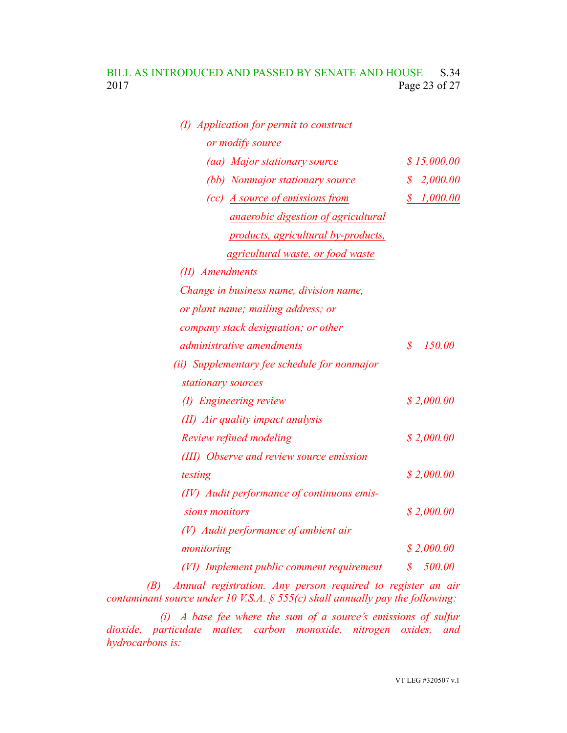## BILL AS INTRODUCED AND PASSED BY SENATE AND HOUSE S.34 2017 Page 23 of 27

| (I) Application for permit to construct      |                                        |
|----------------------------------------------|----------------------------------------|
| or modify source                             |                                        |
| (aa) Major stationary source                 | \$15,000.00                            |
| (bb) Nonmajor stationary source              | \$2,000.00                             |
| (cc) A source of emissions from              | 1,000.00<br>$\boldsymbol{\mathcal{S}}$ |
| <i>anaerobic digestion of agricultural</i>   |                                        |
| products, agricultural by-products,          |                                        |
| <i>agricultural waste, or food waste</i>     |                                        |
| (II) Amendments                              |                                        |
| Change in business name, division name,      |                                        |
| or plant name; mailing address; or           |                                        |
| company stack designation; or other          |                                        |
| <i>administrative amendments</i>             | 150.00<br>$\mathcal{S}$                |
| (ii) Supplementary fee schedule for nonmajor |                                        |
| stationary sources                           |                                        |
| (I) Engineering review                       | \$2,000.00                             |
| (II) Air quality impact analysis             |                                        |
| Review refined modeling                      | \$2,000.00                             |
| (III) Observe and review source emission     |                                        |
| testing                                      | \$2,000.00                             |
| (IV) Audit performance of continuous emis-   |                                        |
| sions monitors                               | \$2,000.00                             |
| (V) Audit performance of ambient air         |                                        |
| monitoring                                   | \$2,000.00                             |
| (VI) Implement public comment requirement    | 500.00<br>\$                           |

*(B) Annual registration. Any person required to register an air contaminant source under 10 V.S.A. § 555(c) shall annually pay the following:*

*(i) A base fee where the sum of a source's emissions of sulfur dioxide, particulate matter, carbon monoxide, nitrogen oxides, and hydrocarbons is:*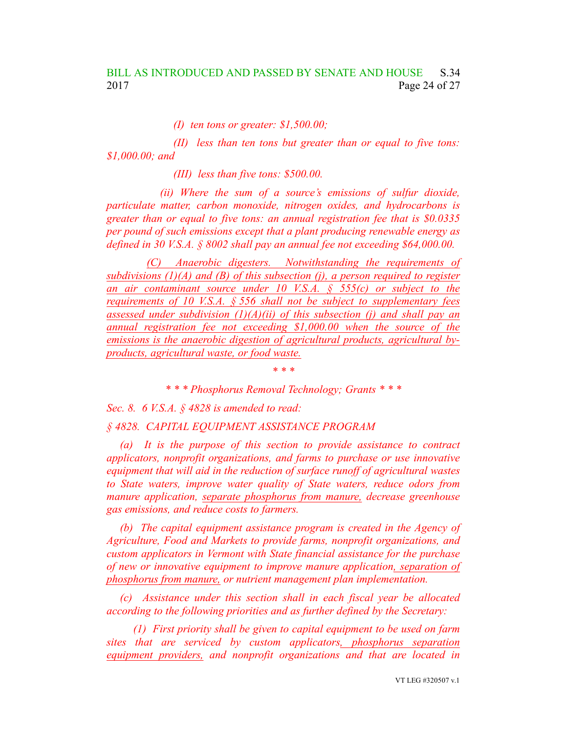*(I) ten tons or greater: \$1,500.00;*

*(II) less than ten tons but greater than or equal to five tons: \$1,000.00; and*

*(III) less than five tons: \$500.00.*

*(ii) Where the sum of a source's emissions of sulfur dioxide, particulate matter, carbon monoxide, nitrogen oxides, and hydrocarbons is greater than or equal to five tons: an annual registration fee that is \$0.0335 per pound of such emissions except that a plant producing renewable energy as defined in 30 V.S.A. § 8002 shall pay an annual fee not exceeding \$64,000.00.*

*(C) Anaerobic digesters. Notwithstanding the requirements of subdivisions (1)(A) and (B) of this subsection (j), a person required to register an air contaminant source under 10 V.S.A. § 555(c) or subject to the requirements of 10 V.S.A. § 556 shall not be subject to supplementary fees assessed under subdivision (1)(A)(ii) of this subsection (j) and shall pay an annual registration fee not exceeding \$1,000.00 when the source of the emissions is the anaerobic digestion of agricultural products, agricultural byproducts, agricultural waste, or food waste.*

*\* \* \* Phosphorus Removal Technology; Grants \* \* \**

*\* \* \**

*Sec. 8. 6 V.S.A. § 4828 is amended to read:*

*§ 4828. CAPITAL EQUIPMENT ASSISTANCE PROGRAM*

*(a) It is the purpose of this section to provide assistance to contract applicators, nonprofit organizations, and farms to purchase or use innovative equipment that will aid in the reduction of surface runoff of agricultural wastes to State waters, improve water quality of State waters, reduce odors from manure application, separate phosphorus from manure, decrease greenhouse gas emissions, and reduce costs to farmers.*

*(b) The capital equipment assistance program is created in the Agency of Agriculture, Food and Markets to provide farms, nonprofit organizations, and custom applicators in Vermont with State financial assistance for the purchase of new or innovative equipment to improve manure application, separation of phosphorus from manure, or nutrient management plan implementation.*

*(c) Assistance under this section shall in each fiscal year be allocated according to the following priorities and as further defined by the Secretary:*

*(1) First priority shall be given to capital equipment to be used on farm sites that are serviced by custom applicators, phosphorus separation equipment providers, and nonprofit organizations and that are located in*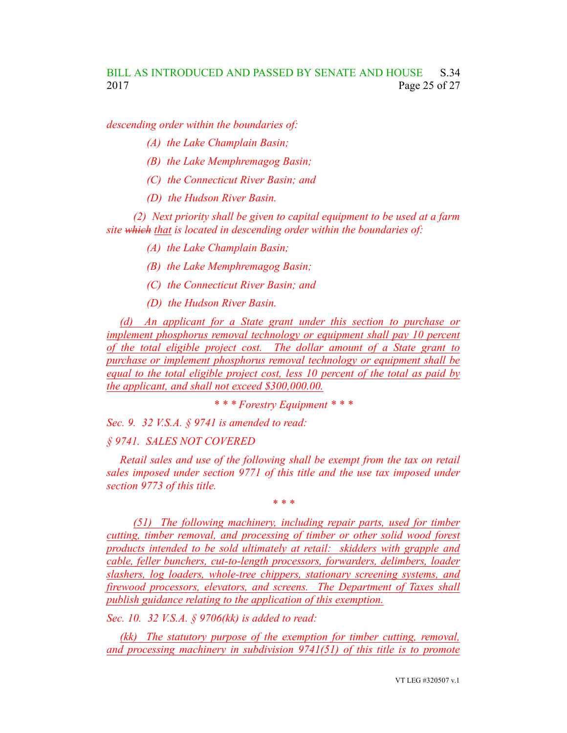*descending order within the boundaries of:*

- *(A) the Lake Champlain Basin;*
- *(B) the Lake Memphremagog Basin;*
- *(C) the Connecticut River Basin; and*
- *(D) the Hudson River Basin.*

*(2) Next priority shall be given to capital equipment to be used at a farm site which that is located in descending order within the boundaries of:*

- *(A) the Lake Champlain Basin;*
- *(B) the Lake Memphremagog Basin;*
- *(C) the Connecticut River Basin; and*
- *(D) the Hudson River Basin.*

*(d) An applicant for a State grant under this section to purchase or implement phosphorus removal technology or equipment shall pay 10 percent of the total eligible project cost. The dollar amount of a State grant to purchase or implement phosphorus removal technology or equipment shall be equal to the total eligible project cost, less 10 percent of the total as paid by the applicant, and shall not exceed \$300,000.00.*

*\* \* \* Forestry Equipment \* \* \**

*Sec. 9. 32 V.S.A. § 9741 is amended to read:*

#### *§ 9741. SALES NOT COVERED*

*Retail sales and use of the following shall be exempt from the tax on retail sales imposed under section 9771 of this title and the use tax imposed under section 9773 of this title.*

*\* \* \**

*(51) The following machinery, including repair parts, used for timber cutting, timber removal, and processing of timber or other solid wood forest products intended to be sold ultimately at retail: skidders with grapple and cable, feller bunchers, cut-to-length processors, forwarders, delimbers, loader slashers, log loaders, whole-tree chippers, stationary screening systems, and firewood processors, elevators, and screens. The Department of Taxes shall publish guidance relating to the application of this exemption.*

*Sec. 10. 32 V.S.A. § 9706(kk) is added to read:*

*(kk) The statutory purpose of the exemption for timber cutting, removal, and processing machinery in subdivision 9741(51) of this title is to promote*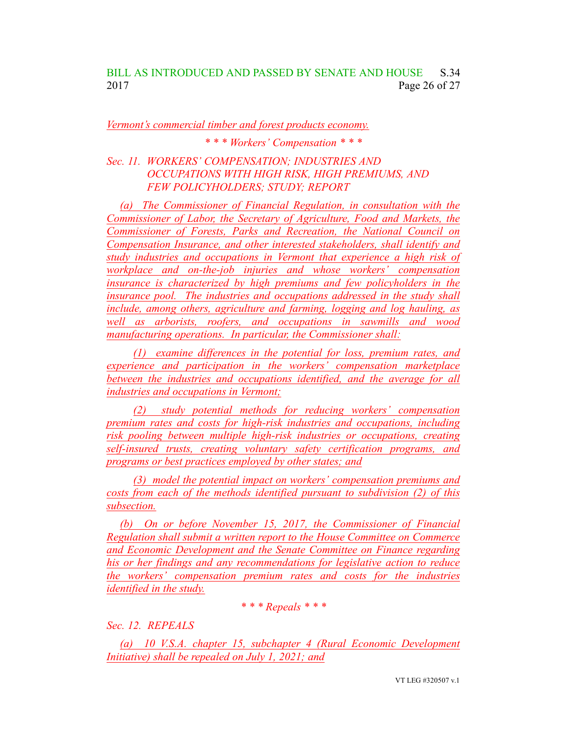## BILL AS INTRODUCED AND PASSED BY SENATE AND HOUSE S.34 2017 Page 26 of 27

#### *Vermont's commercial timber and forest products economy.*

*\* \* \* Workers' Compensation \* \* \**

#### *Sec. 11. WORKERS' COMPENSATION; INDUSTRIES AND OCCUPATIONS WITH HIGH RISK, HIGH PREMIUMS, AND FEW POLICYHOLDERS; STUDY; REPORT*

*(a) The Commissioner of Financial Regulation, in consultation with the Commissioner of Labor, the Secretary of Agriculture, Food and Markets, the Commissioner of Forests, Parks and Recreation, the National Council on Compensation Insurance, and other interested stakeholders, shall identify and study industries and occupations in Vermont that experience a high risk of workplace and on-the-job injuries and whose workers' compensation insurance is characterized by high premiums and few policyholders in the insurance pool. The industries and occupations addressed in the study shall include, among others, agriculture and farming, logging and log hauling, as well as arborists, roofers, and occupations in sawmills and wood manufacturing operations. In particular, the Commissioner shall:*

*(1) examine differences in the potential for loss, premium rates, and experience and participation in the workers' compensation marketplace between the industries and occupations identified, and the average for all industries and occupations in Vermont;*

*(2) study potential methods for reducing workers' compensation premium rates and costs for high-risk industries and occupations, including risk pooling between multiple high-risk industries or occupations, creating self-insured trusts, creating voluntary safety certification programs, and programs or best practices employed by other states; and*

*(3) model the potential impact on workers' compensation premiums and costs from each of the methods identified pursuant to subdivision (2) of this subsection.*

*(b) On or before November 15, 2017, the Commissioner of Financial Regulation shall submit a written report to the House Committee on Commerce and Economic Development and the Senate Committee on Finance regarding his or her findings and any recommendations for legislative action to reduce the workers' compensation premium rates and costs for the industries identified in the study.*

#### *\* \* \* Repeals \* \* \**

#### *Sec. 12. REPEALS*

*(a) 10 V.S.A. chapter 15, subchapter 4 (Rural Economic Development Initiative) shall be repealed on July 1, 2021; and*